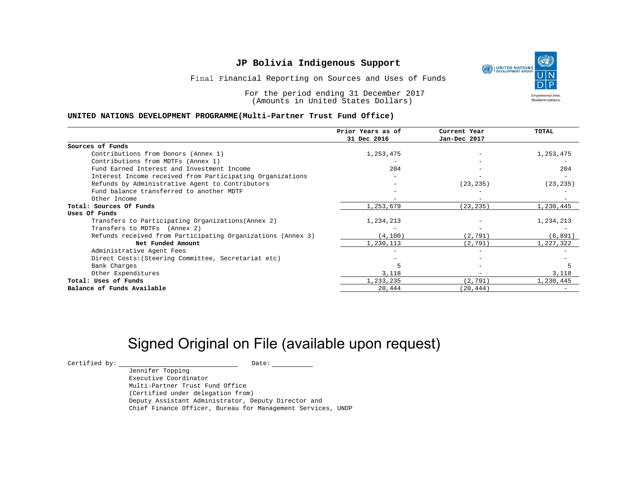UNITED NATIONS **Empowered lives** Resilient nations.

Final Financial Reporting on Sources and Uses of Funds

For the period ending 31 December 2017 (Amounts in United States Dollars)

### **UNITED NATIONS DEVELOPMENT PROGRAMME(Multi-Partner Trust Fund Office)**

|                                                             | Prior Years as of | Current Year | <b>TOTAL</b> |
|-------------------------------------------------------------|-------------------|--------------|--------------|
|                                                             | 31 Dec 2016       | Jan-Dec 2017 |              |
| Sources of Funds                                            |                   |              |              |
| Contributions from Donors (Annex 1)                         | 1,253,475         |              | 1,253,475    |
| Contributions from MDTFs (Annex 1)                          |                   |              |              |
| Fund Earned Interest and Investment Income                  | 204               |              | 204          |
| Interest Income received from Participating Organizations   |                   |              |              |
| Refunds by Administrative Agent to Contributors             |                   | (23, 235)    | (23, 235)    |
| Fund balance transferred to another MDTF                    |                   |              |              |
| Other Income                                                |                   |              |              |
| Total: Sources Of Funds                                     | 1,253,679         | (23, 235)    | 1,230,445    |
| Uses Of Funds                                               |                   |              |              |
| Transfers to Participating Organizations (Annex 2)          | 1,234,213         |              | 1,234,213    |
| Transfers to MDTFs (Annex 2)                                |                   |              |              |
| Refunds received from Participating Organizations (Annex 3) | (4, 100)          | (2, 791)     | (6, 891)     |
| Net Funded Amount                                           | 1,230,113         | (2, 791)     | 1,227,322    |
| Administrative Agent Fees                                   |                   |              |              |
| Direct Costs: (Steering Committee, Secretariat etc)         |                   |              |              |
| Bank Charges                                                |                   |              |              |
| Other Expenditures                                          | 3,118             |              | 3,118        |
| Total: Uses of Funds                                        | 1,233,235         | (2, 791)     | 1,230,445    |
| Balance of Funds Available                                  | 20,444            | (20, 444)    |              |

## Signed Original on File (available upon request)

Certified by: Date:

Jennifer Topping Executive Coordinator Multi-Partner Trust Fund Office (Certified under delegation from) Deputy Assistant Administrator, Deputy Director and Chief Finance Officer, Bureau for Management Services, UNDP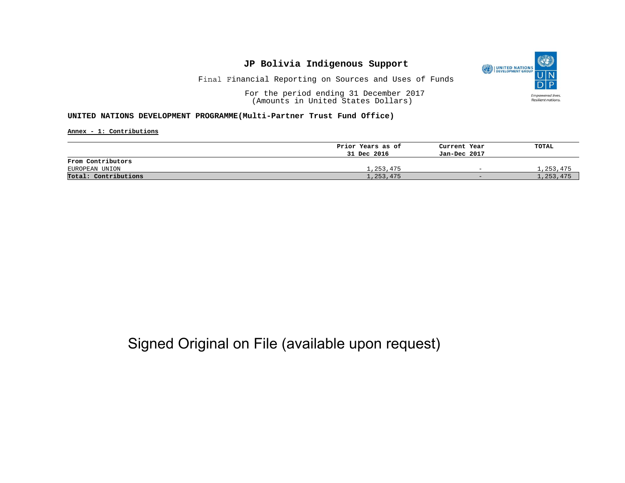

Final Financial Reporting on Sources and Uses of Funds

For the period ending 31 December 2017 (Amounts in United States Dollars)

#### **UNITED NATIONS DEVELOPMENT PROGRAMME(Multi-Partner Trust Fund Office)**

**Annex - 1: Contributions**

|                      | Prior Years as of | Current Year             | TOTAL     |
|----------------------|-------------------|--------------------------|-----------|
|                      | 31 Dec 2016       | Jan-Dec 2017             |           |
| From Contributors    |                   |                          |           |
| EUROPEAN UNION       | 1,253,475         | $\overline{\phantom{0}}$ | 1,253,475 |
| Total: Contributions | 1,253,475         | $-$                      | 1,253,475 |

# Signed Original on File (available upon request)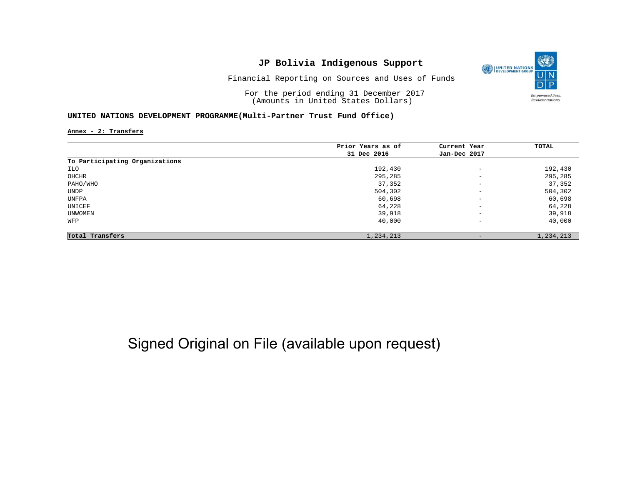

Financial Reporting on Sources and Uses of Funds

For the period ending 31 December 2017 (Amounts in United States Dollars)

### **UNITED NATIONS DEVELOPMENT PROGRAMME(Multi-Partner Trust Fund Office)**

**Annex - 2: Transfers**

|                                | Prior Years as of | Current Year             | TOTAL     |
|--------------------------------|-------------------|--------------------------|-----------|
|                                | 31 Dec 2016       | Jan-Dec 2017             |           |
| To Participating Organizations |                   |                          |           |
| ILO                            | 192,430           | $\qquad \qquad -$        | 192,430   |
| OHCHR                          | 295,285           | $\overline{\phantom{a}}$ | 295,285   |
| PAHO/WHO                       | 37,352            | $\qquad \qquad -$        | 37,352    |
| UNDP                           | 504,302           | $\overline{\phantom{a}}$ | 504,302   |
| UNFPA                          | 60,698            | $\overline{\phantom{a}}$ | 60,698    |
| UNICEF                         | 64,228            | $\overline{\phantom{a}}$ | 64,228    |
| UNWOMEN                        | 39,918            | $\qquad \qquad -$        | 39,918    |
| WFP                            | 40,000            | $\qquad \qquad -$        | 40,000    |
| Total Transfers                | 1,234,213         | $\qquad \qquad -$        | 1,234,213 |

# Signed Original on File (available upon request)